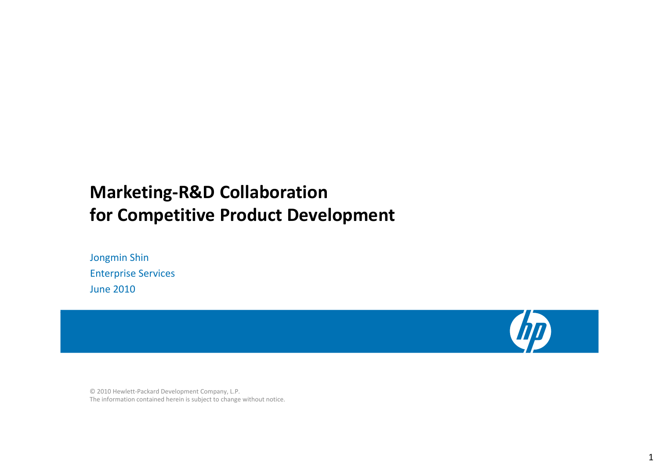# **Marketing‐R&D Collaboration for Competitive Product Development**

Jongmin Shin Enterprise Services June 2010



The information contained herein is subject to change without notice. © 2010 Hewlett‐Packard Development Company, L.P.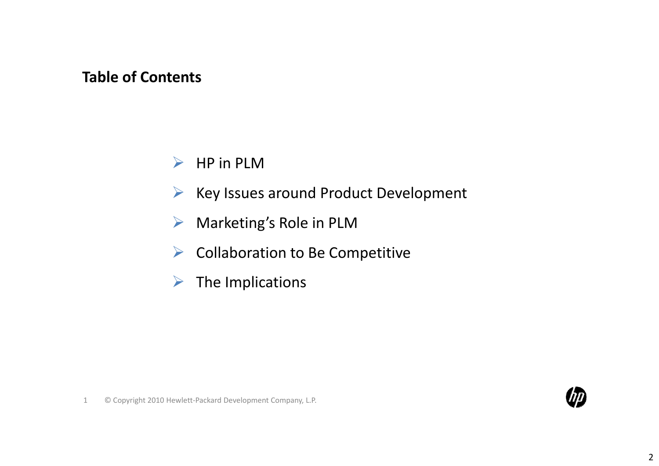## **Table of Contents**

- ¾ $\triangleright$  HP in PLM
- ¾Key Issues around Product Development
- ¾Marketing's Role in PLM
- ¾Collaboration to Be Competitive
- ¾The Implications

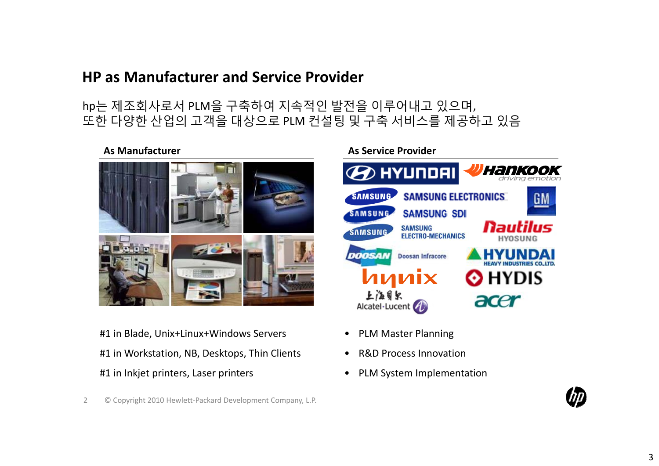## **HP as Manufacturer and Service Provider**

## hp는 제조회사로서 PLM을 구축하여 지속적인 발전을 이루어내고 있으며, 또한 다양한 산업의 고객을 대상으로 PLM 컨설팅 및 구축 서비스를 제공하고 있음

#### **As Manufacturer As Service**



#1 in Blade, Unix+Linux+Windows Servers #1 in Workstation, NB, Desktops, Thin Clients #1 in Inkjet printers, Laser printers • PLM System Implementation

2 © Copyright 2010 Hewlett‐Packard Development Company, L.P.

**As Service Provider** 



- PLM Master Planning
- $\bullet$ R&D Process Innovation
- 

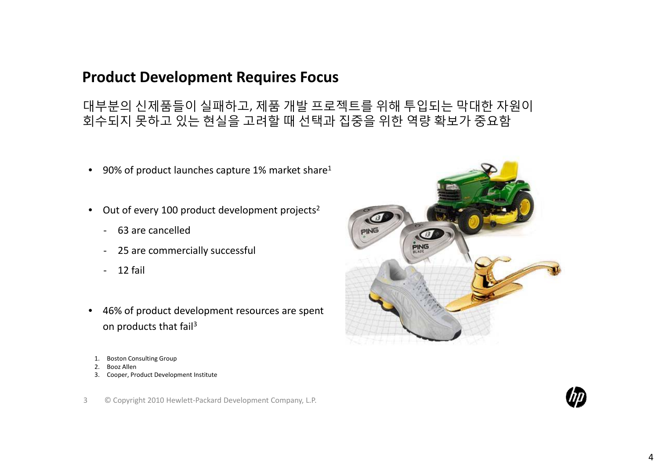## **Product Development Requires Focus**

대부분의 신제품들이 실패하고, 제품 개발 프로젝트를 위해 투입되는 막대한 자원이 회수되지 못하고 있는 현실을 고려할 때 선택과 집중을 위한 역량 확보가 중요함

- $\bullet$ • 90% of product launches capture 1% market share<sup>1</sup>
- Out of every 100 product development projects<sup>2</sup>
	- ‐ 63 are cancelled
	- $\blacksquare$ 25 are commercially successful
	- ‐ 12 fail
- $\bullet$  46% of product development resources are spent on products that fail<sup>3</sup>
- 1. Boston Consulting Group
- 2. Booz Allen
- 3. Cooper, Product Development Institute



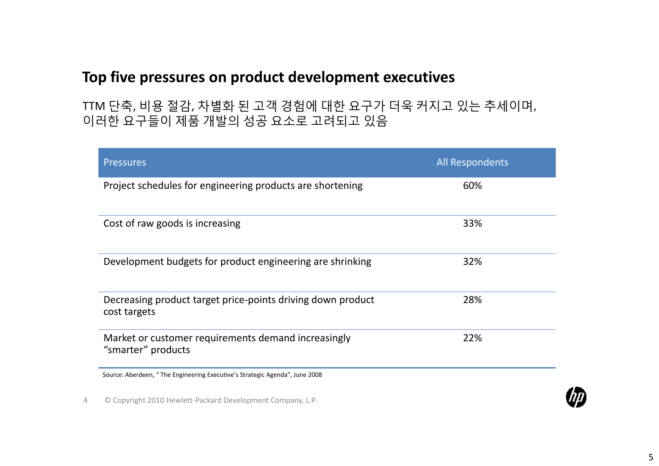## **Top five pressures on product development executives**

TTM 단축, 비용 절감, 차별화 된 고객 경험에 대한 요구가 더욱 커지고 있는 추세이며, 이러한 요구들이 제품 개발의 성공 요소로 고려되고 있음

| <b>Pressures</b>                                                            | <b>All Respondents</b> |
|-----------------------------------------------------------------------------|------------------------|
| Project schedules for engineering products are shortening                   | 60%                    |
| Cost of raw goods is increasing                                             | 33%                    |
| Development budgets for product engineering are shrinking                   | 32%                    |
| Decreasing product target price-points driving down product<br>cost targets | 28%                    |
| Market or customer requirements demand increasingly<br>"smarter" products   | 22%                    |
| Source: Aberdeen, "The Engineering Executive's Strategic Agenda", June 2008 |                        |

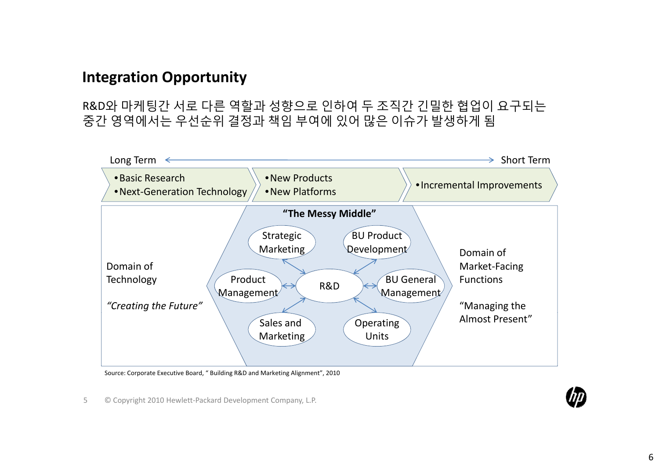## **Integration Opportunity**

R&D와 마케팅간 서로 다른 역할과 성향으로 인하여 두 조직간 긴밀한 협업이 요구되는 중간 영역에서는 우선순위 결정과 책임 부여에 있어 많은 이슈가 발생하게 됨



Source: Corporate Executive Board, " Building R&D and Marketing Alignment", 2010

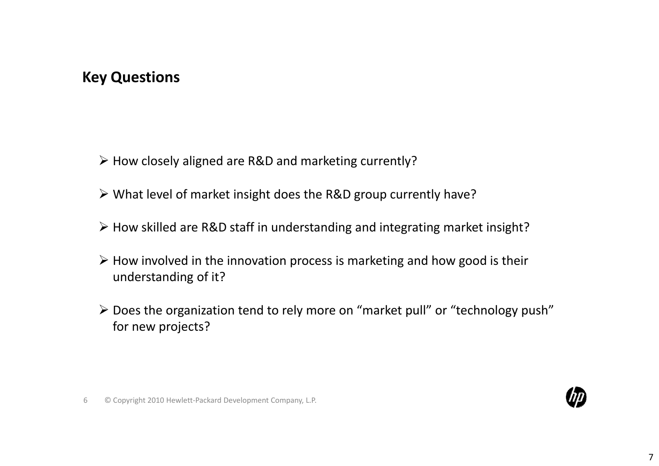## **Key Questions**

- ¾ How closely aligned are R&D and marketing currently?
- ¾ What level of market insight does the R&D group currently have?
- ¾ How skilled are R&D staff in understanding and integrating market insight?
- $\triangleright$  How involved in the innovation process is marketing and how good is their understanding of it?
- $\triangleright$  Does the organization tend to rely more on "market pull" or "technology push" for new projects?

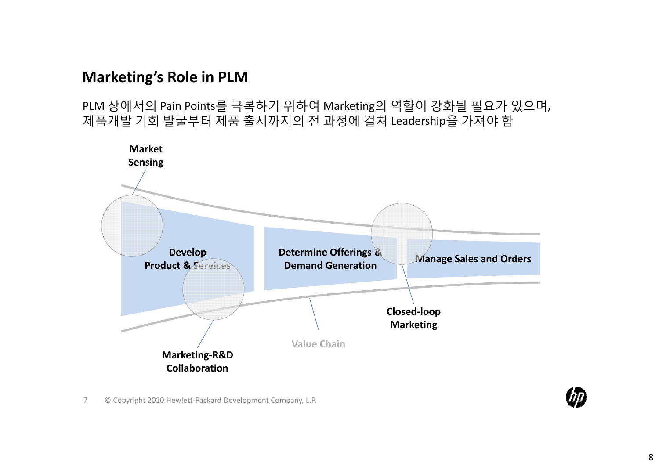## **Marketing's Role in PLM**

PLM 상에서의 Pain Points를 극복하기 위하여 Marketing의 역할이 강화될 필요가 있으며, 제품개발 기회 발굴부터 제품 출시까지의 전 과정에 걸쳐 Leadership을 가져야 함

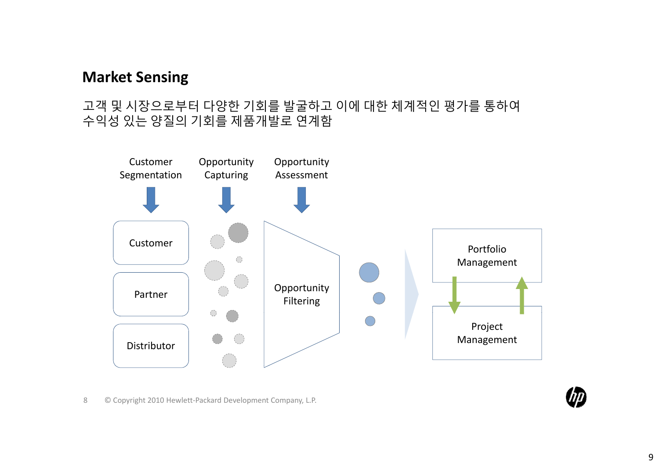## **Market Sensing**

#### 고객 및 시장으로부터 다양한 기회를 발굴하고 이에 대한 체계적인 평가를 통하여 수익성 있는 양질의 기회를 제품개발로 연계함

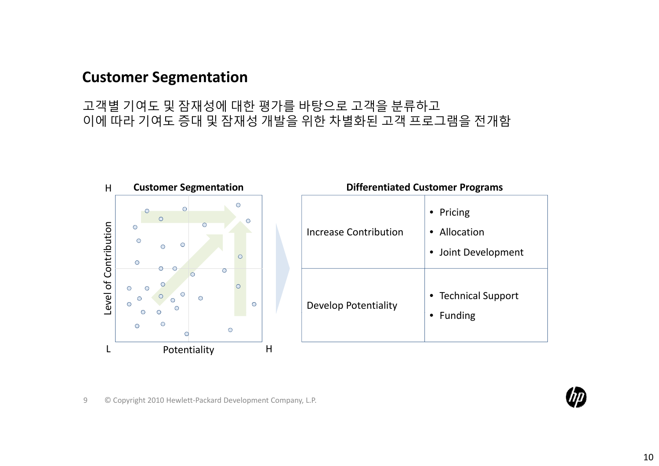## **Customer Segmentation**

고객별 기여도 및 잠재성에 대한 평가를 바탕으로 고객을 분류하고 이에 따라 기여도 증대 및 잠재성 개발을 위한 차별화된 고객 프로그램을 전개함

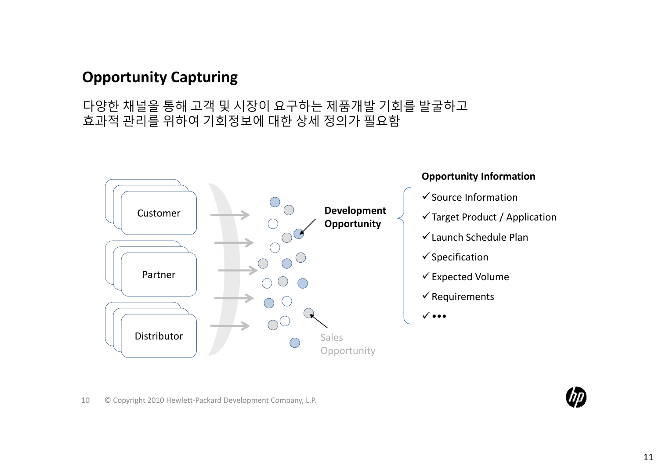## **Opportunity Capturing**

#### 다양한 채널을 통해 고객 및 시장이 요구하는 제품개발 기회를 발굴하고 효과적 관리를 위하여 기회정보에 대한 상세 정의가 필요함



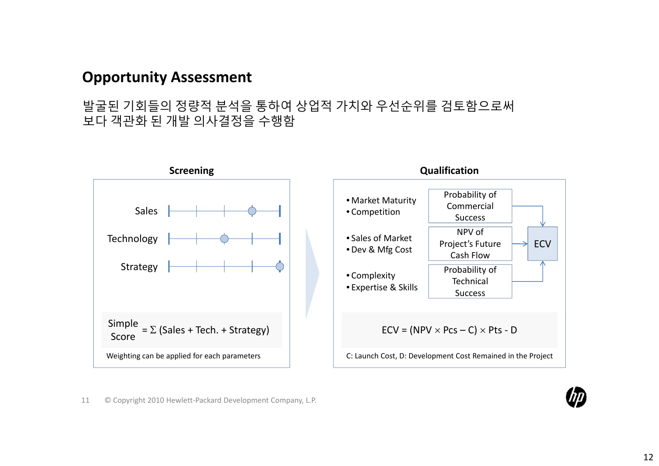## **Opportunity Assessment**

#### 발굴된 기회들의 정량적 분석을 통하여 상업적 가치와 우선순위를 검토함으로써 보다 객관화 된 개발 의사결정을 수행함

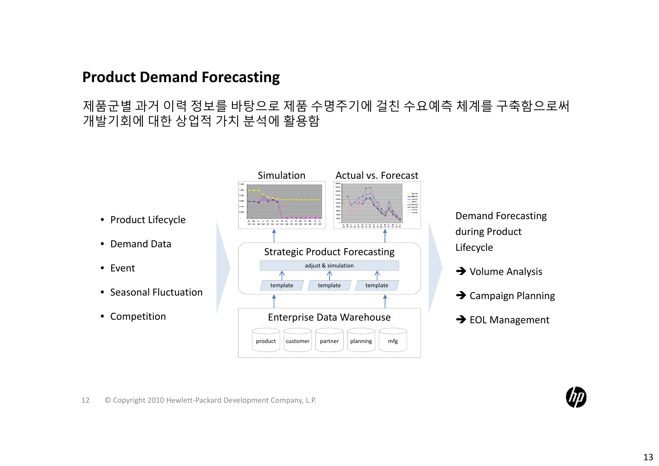## **Product Demand Forecasting**

#### 제품군별 과거 이력 정보를 바탕으로 제품 수명주기에 걸친 수요예측 체계를 구축함으로써 개발기회에 대한 상업적 가치 분석에 활용함



Demand Forecasting during Product Lifecycle

- $\rightarrow$  Volume Analysis
- $\rightarrow$  Campaign Planning
- $\rightarrow$  EOL Management
- Product Lifecycle
- Demand Data
- Event
- Seasonal Fluctuation
- Competition



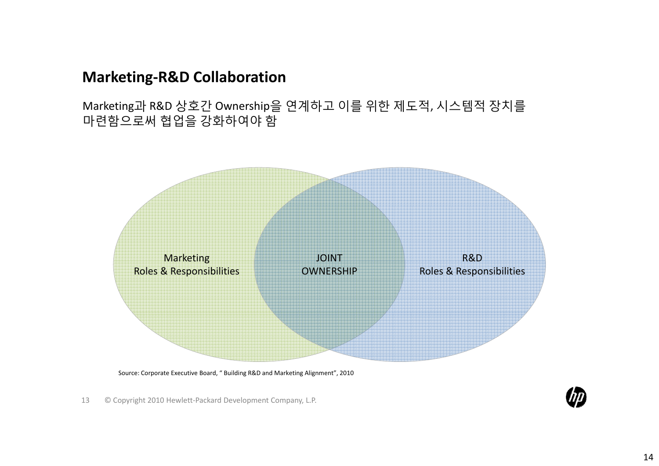## **Marketing‐R&D Collaboration**

Marketing과 R&D 상호간 Ownership을 연계하고 이를 위한 제도적, 시스템적 장치를 마련함으로써 협업을 강화하여야 함



Source: Corporate Executive Board, " Building R&D and Marketing Alignment", 2010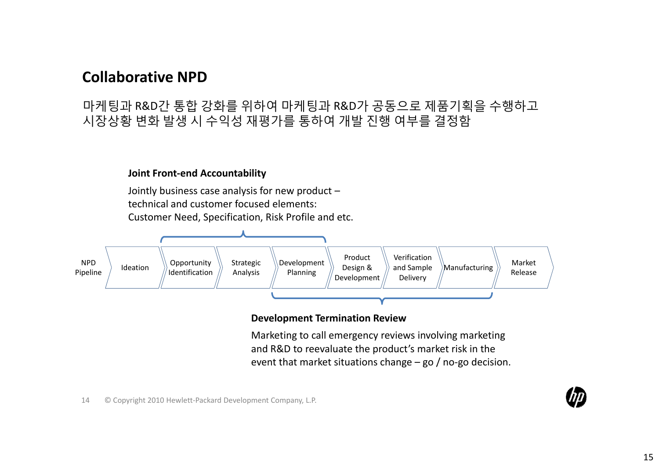## **Collaborative NPD**

#### 마케팅과 R&D간 통합 강화를 위하여 마케팅과 R&D가 공동으로 제품기획을 수행하고 시장상황 변화 발생 시 수익성 재평가를 통하여 개발 진행 여부를 결정함

#### **Joint Front‐end Accountability**

Jointly business case analysis for new product – technical and customer focused elements: Customer Need, Specification, Risk Profile and etc.



#### **Development Termination Review**

Marketing to call emergency reviews involving marketing and R&D to reevaluate the product's market risk in the event that market situations change – go / no-go decision.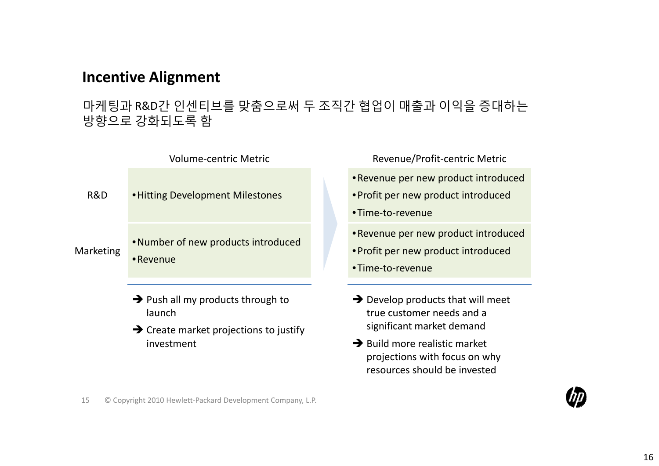## **Incentive Alignment**

#### 마케팅과 R&D간 인센티브를 맞춤으로써 두 조직간 협업이 매출과 이익을 증대하는 방향으로 강화되도록 함



- $\rightarrow$  Push all my products through to launch
- $\rightarrow$  Create market projections to justify investment
- Revenue/Profit-centric Metric
- •Revenue per new product introduced
- •Profit per new product introduced
- •Time‐to‐revenue
- •Revenue per new product introduced
- 
- •Time‐to‐revenue
- $\rightarrow$  Develop products that will meet true customer needs and <sup>a</sup> significant market demand
- $\rightarrow$  Build more realistic market projections with focus on why resources should be invested
- 15 ©Copyright 2010 Hewlett‐Packard Development Company, L.P.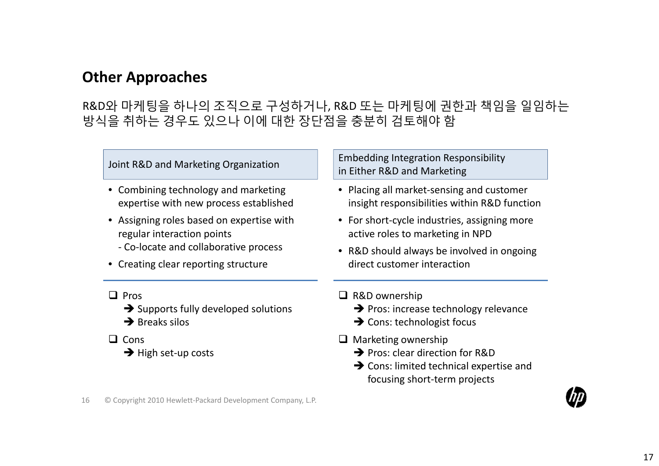# **Other Approaches**

## R&D와 마케팅을 하나의 조직으로 구성하거나, R&D 또는 마케팅에 권한과 책임을 일임하는 방식을 취하는 경우도 있으나 이에 대한 장단점을 충분히 검토해야 함

| Joint R&D and Marketing Organization                                           | <b>Embedding Integration Responsibility</b><br>in Either R&D and Marketing                |
|--------------------------------------------------------------------------------|-------------------------------------------------------------------------------------------|
| • Combining technology and marketing<br>expertise with new process established | • Placing all market-sensing and customer<br>insight responsibilities within R&D function |
| • Assigning roles based on expertise with<br>regular interaction points        | • For short-cycle industries, assigning more<br>active roles to marketing in NPD          |
| - Co-locate and collaborative process<br>• Creating clear reporting structure  | • R&D should always be involved in ongoing                                                |
|                                                                                | direct customer interaction                                                               |
| Pros                                                                           | $\Box$ R&D ownership                                                                      |
| $\rightarrow$ Supports fully developed solutions                               | $\rightarrow$ Pros: increase technology relevance                                         |
| $\rightarrow$ Breaks silos                                                     | $\rightarrow$ Cons: technologist focus                                                    |
| Cons<br>$\rightarrow$ High set-up costs                                        | $\Box$ Marketing ownership                                                                |
|                                                                                | $\rightarrow$ Pros: clear direction for R&D                                               |
|                                                                                | $\rightarrow$ Cons: limited technical expertise and<br>focusing short-term projects       |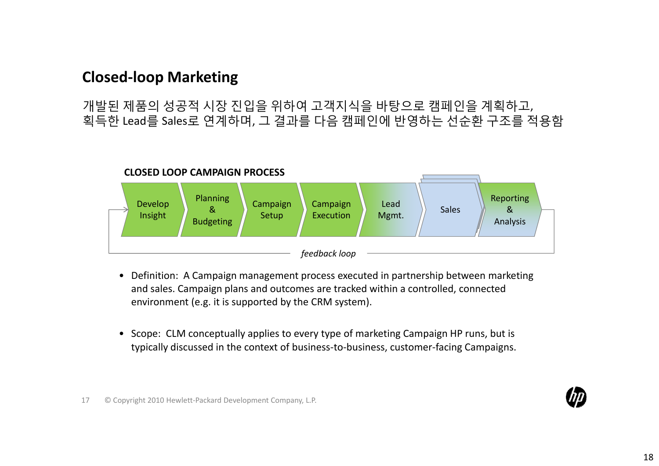## **Closed‐loop Marketing**

개발된 제품의 성공적 시장 진입을 위하여 고객지식을 바탕으로 캠페인을 계획하고, 획득한 Lead를 Sales로 연계하며, 그 결과를 다음 캠페인에 반영하는 선순환 구조를 적용함



- Definition: A Campaign management process executed in partnership between marketing and sales. Campaign plans and outcomes are tracked within <sup>a</sup> controlled, connected environment (e.g. it is supported by the CRM system).
- Scope: CLM conceptually applies to every type of marketing Campaign HP runs, but is typically discussed in the context of business‐to‐business, customer‐facing Campaigns.

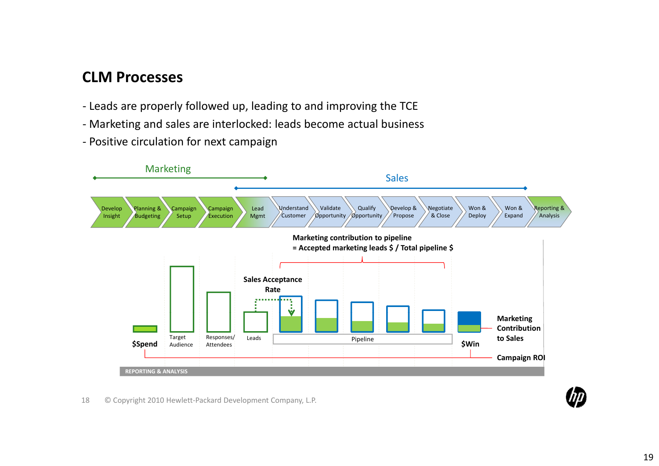## **CLM Processes**

- ‐ Leads are properly followed up, leading to and improving the TCE
- ‐ Marketing and sales are interlocked: leads become actual business
- ‐ Positive circulation for next campaign

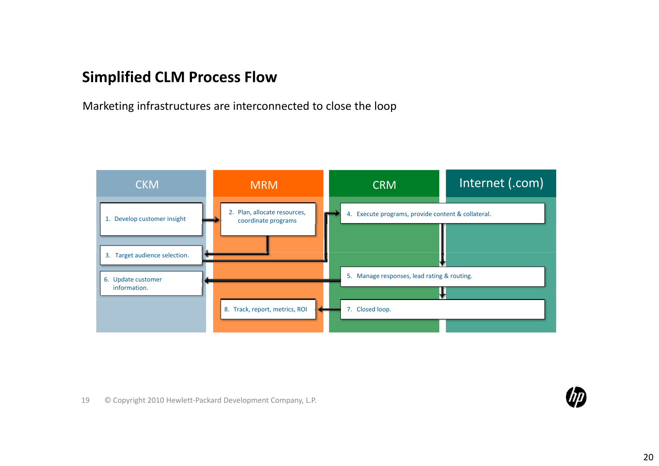## **Simplified CLM Process Flow**

Marketing infrastructures are interconnected to close the loop



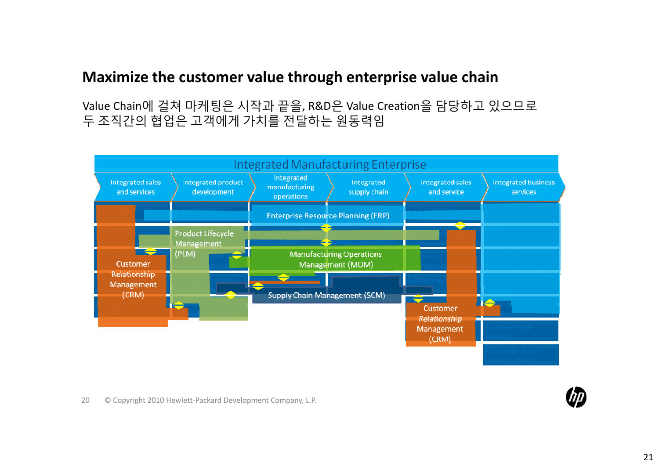## **Maximize the customer value through enterprise value chain**

Value Chain에 걸쳐 마케팅은 시작과 끝을, R&D은 Value Creation을 담당하고 있으므로 두 조직간의 협업은 고객에게 가치를 전달하는 원동력임

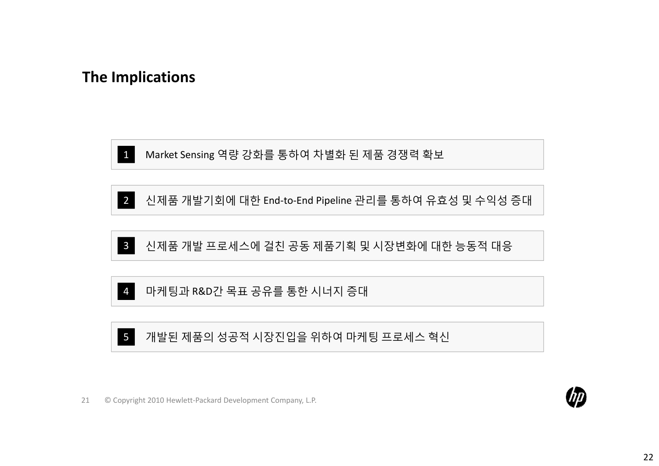## **The Implications**



1 Market Sensing 역량 강화를 통하여 차별화 된 제품 경쟁력 확보





4마케팅과 R&D간 목표 공유를 통한 시너지 증대

5개발된 제품의 성공적 시장진입을 위하여 마케팅 프로세스 혁신